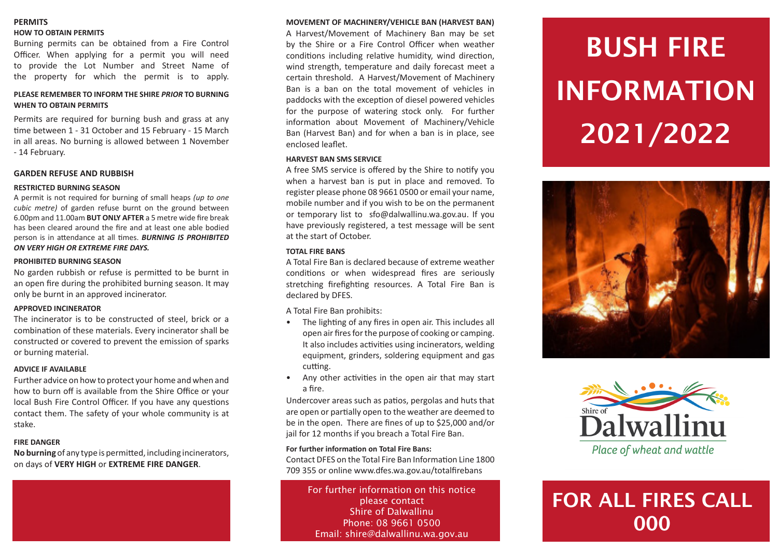### **PERMITS HOW TO OBTAIN PERMITS**

Burning permits can be obtained from a Fire Control Officer. When applying for a permit you will need to provide the Lot Number and Street Name of the property for which the permit is to apply.

### **PLEASE REMEMBER TO INFORM THE SHIRE** *PRIOR* **TO BURNING WHEN TO OBTAIN PERMITS**

Permits are required for burning bush and grass at any time between 1 - 31 October and 15 February - 15 March in all areas. No burning is allowed between 1 November - 14 February.

### **GARDEN REFUSE AND RUBBISH**

### **RESTRICTED BURNING SEASON**

A permit is not required for burning of small heaps *(up to one cubic metre)* of garden refuse burnt on the ground between 6.00pm and 11.00am **BUT ONLY AFTER** a 5 metre wide fire break has been cleared around the fire and at least one able bodied person is in attendance at all times. *BURNING IS PROHIBITED ON VERY HIGH OR EXTREME FIRE DAYS.*

### **PROHIBITED BURNING SEASON**

No garden rubbish or refuse is permitted to be burnt in an open fire during the prohibited burning season. It may only be burnt in an approved incinerator.

### **APPROVED INCINERATOR**

The incinerator is to be constructed of steel, brick or a combination of these materials. Every incinerator shall be constructed or covered to prevent the emission of sparks or burning material.

### **ADVICE IF AVAILABLE**

Further advice on how to protect your home and when and how to burn off is available from the Shire Office or your local Bush Fire Control Officer. If you have any questions contact them. The safety of your whole community is at stake.

### **FIRE DANGER**

**No burning** of any type is permitted, including incinerators, on days of **VERY HIGH** or **EXTREME FIRE DANGER**.

#### **MOVEMENT OF MACHINERY/VEHICLE BAN (HARVEST BAN)**

A Harvest/Movement of Machinery Ban may be set by the Shire or a Fire Control Officer when weather conditions including relative humidity, wind direction, wind strength, temperature and daily forecast meet a certain threshold. A Harvest/Movement of Machinery Ban is a ban on the total movement of vehicles in paddocks with the exception of diesel powered vehicles for the purpose of watering stock only. For further information about Movement of Machinery/Vehicle Ban (Harvest Ban) and for when a ban is in place, see enclosed leaflet.

### **HARVEST BAN SMS SERVICE**

A free SMS service is offered by the Shire to notify you when a harvest ban is put in place and removed. To register please phone 08 9661 0500 or email your name, mobile number and if you wish to be on the permanent or temporary list to sfo@dalwallinu.wa.gov.au. If you have previously registered, a test message will be sent at the start of October.

### **TOTAL FIRE BANS**

A Total Fire Ban is declared because of extreme weather conditions or when widespread fires are seriously stretching firefighting resources. A Total Fire Ban is declared by DFES.

A Total Fire Ban prohibits:

- The lighting of any fires in open air. This includes all open air fires for the purpose of cooking or camping. It also includes activities using incinerators, welding equipment, grinders, soldering equipment and gas cutting.
- Any other activities in the open air that may start a fire.

Undercover areas such as patios, pergolas and huts that are open or partially open to the weather are deemed to be in the open. There are fines of up to \$25,000 and/or jail for 12 months if you breach a Total Fire Ban.

### **For further information on Total Fire Bans:**

Contact DFES on the Total Fire Ban Information Line 1800 709 355 or online www.dfes.wa.gov.au/totalfirebans

For further information on this notice please contact Shire of Dalwallinu Phone: 08 9661 0500 Email: shire@dalwallinu.wa.gov.au

# BUSH FIRE INFORMATION 2021/2022





Place of wheat and wattle

# FOR ALL FIRES CALL 000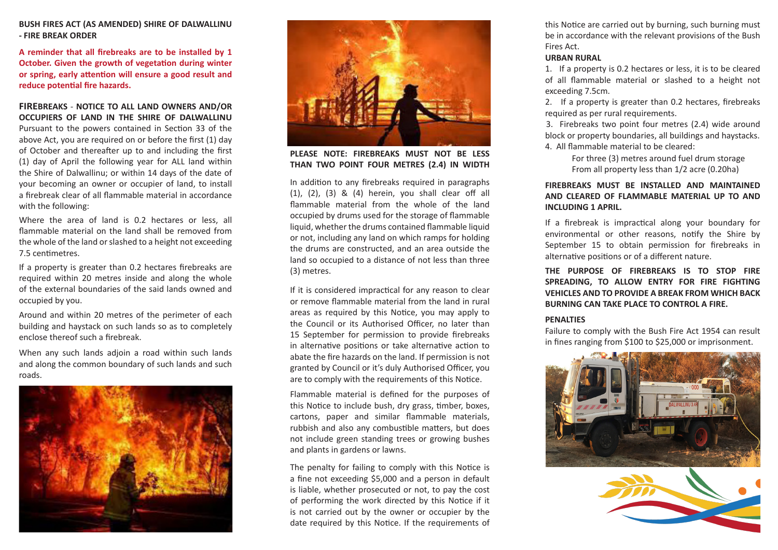**BUSH FIRES ACT (AS AMENDED) SHIRE OF DALWALLINU - FIRE BREAK ORDER**

**A reminder that all firebreaks are to be installed by 1 October. Given the growth of vegetation during winter or spring, early attention will ensure a good result and reduce potential fire hazards.**

**FIREBREAKS** - **NOTICE TO ALL LAND OWNERS AND/OR OCCUPIERS OF LAND IN THE SHIRE OF DALWALLINU**

Pursuant to the powers contained in Section 33 of the above Act, you are required on or before the first (1) day of October and thereafter up to and including the first (1) day of April the following year for ALL land within the Shire of Dalwallinu; or within 14 days of the date of your becoming an owner or occupier of land, to install a firebreak clear of all flammable material in accordance with the following:

Where the area of land is 0.2 hectares or less, all flammable material on the land shall be removed from the whole of the land or slashed to a height not exceeding 7.5 centimetres.

If a property is greater than 0.2 hectares firebreaks are required within 20 metres inside and along the whole of the external boundaries of the said lands owned and occupied by you.

Around and within 20 metres of the perimeter of each building and haystack on such lands so as to completely enclose thereof such a firebreak.

When any such lands adjoin a road within such lands and along the common boundary of such lands and such roads.





**PLEASE NOTE: FIREBREAKS MUST NOT BE LESS THAN TWO POINT FOUR METRES (2.4) IN WIDTH**

In addition to any firebreaks required in paragraphs (1), (2), (3) & (4) herein, you shall clear off all flammable material from the whole of the land occupied by drums used for the storage of flammable liquid, whether the drums contained flammable liquid or not, including any land on which ramps for holding the drums are constructed, and an area outside the land so occupied to a distance of not less than three (3) metres.

If it is considered impractical for any reason to clear or remove flammable material from the land in rural areas as required by this Notice, you may apply to the Council or its Authorised Officer, no later than 15 September for permission to provide firebreaks in alternative positions or take alternative action to abate the fire hazards on the land. If permission is not granted by Council or it's duly Authorised Officer, you are to comply with the requirements of this Notice.

Flammable material is defined for the purposes of this Notice to include bush, dry grass, timber, boxes, cartons, paper and similar flammable materials, rubbish and also any combustible matters, but does not include green standing trees or growing bushes and plants in gardens or lawns.

The penalty for failing to comply with this Notice is a fine not exceeding \$5,000 and a person in default is liable, whether prosecuted or not, to pay the cost of performing the work directed by this Notice if it is not carried out by the owner or occupier by the date required by this Notice. If the requirements of

this Notice are carried out by burning, such burning must be in accordance with the relevant provisions of the Bush Fires Act.

#### **URBAN RURAL**

1. If a property is 0.2 hectares or less, it is to be cleared of all flammable material or slashed to a height not exceeding 7.5cm.

2. If a property is greater than 0.2 hectares, firebreaks required as per rural requirements.

3. Firebreaks two point four metres (2.4) wide around block or property boundaries, all buildings and haystacks. 4. All flammable material to be cleared:

> For three (3) metres around fuel drum storage From all property less than 1/2 acre (0.20ha)

### **FIREBREAKS MUST BE INSTALLED AND MAINTAINED AND CLEARED OF FLAMMABLE MATERIAL UP TO AND INCLUDING 1 APRIL.**

If a firebreak is impractical along your boundary for environmental or other reasons, notify the Shire by September 15 to obtain permission for firebreaks in alternative positions or of a different nature.

**THE PURPOSE OF FIREBREAKS IS TO STOP FIRE SPREADING, TO ALLOW ENTRY FOR FIRE FIGHTING VEHICLES AND TO PROVIDE A BREAK FROM WHICH BACK BURNING CAN TAKE PLACE TO CONTROL A FIRE.**

### **PENALTIES**

Failure to comply with the Bush Fire Act 1954 can result in fines ranging from \$100 to \$25,000 or imprisonment.